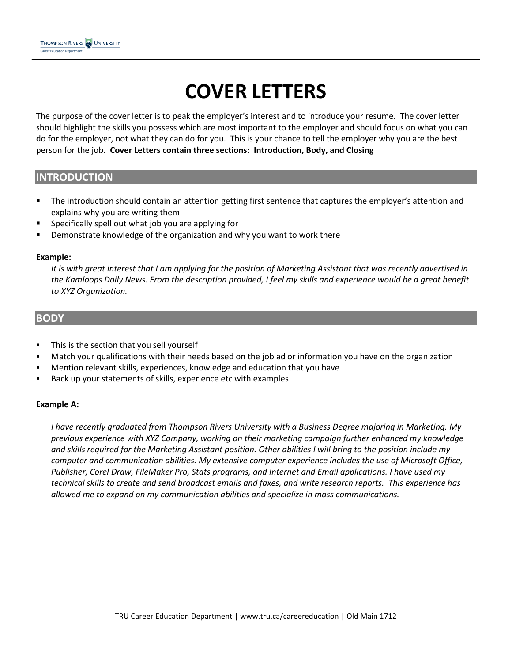# **COVER LETTERS**

The purpose of the cover letter is to peak the employer's interest and to introduce your resume. The cover letter should highlight the skills you possess which are most important to the employer and should focus on what you can do for the employer, not what they can do for you. This is your chance to tell the employer why you are the best person for the job. **Cover Letters contain three sections: Introduction, Body, and Closing**

## **INTRODUCTION**

- **The introduction should contain an attention getting first sentence that captures the employer's attention and** explains why you are writing them
- Specifically spell out what job you are applying for
- **•** Demonstrate knowledge of the organization and why you want to work there

#### **Example:**

*It is with great interest that I am applying for the position of Marketing Assistant that was recently advertised in*  the Kamloops Daily News. From the description provided, I feel my skills and experience would be a great benefit *to XYZ Organization.* 

#### **BODY**

- **This is the section that you sell yourself**
- Match your qualifications with their needs based on the job ad or information you have on the organization
- Mention relevant skills, experiences, knowledge and education that you have
- Back up your statements of skills, experience etc with examples

#### **Example A:**

*I have recently graduated from Thompson Rivers University with a Business Degree majoring in Marketing. My previous experience with XYZ Company, working on their marketing campaign further enhanced my knowledge and skills required for the Marketing Assistant position. Other abilities I will bring to the position include my computer and communication abilities. My extensive computer experience includes the use of Microsoft Office, Publisher, Corel Draw, FileMaker Pro, Stats programs, and Internet and Email applications. I have used my technical skills to create and send broadcast emails and faxes, and write research reports. This experience has allowed me to expand on my communication abilities and specialize in mass communications.*